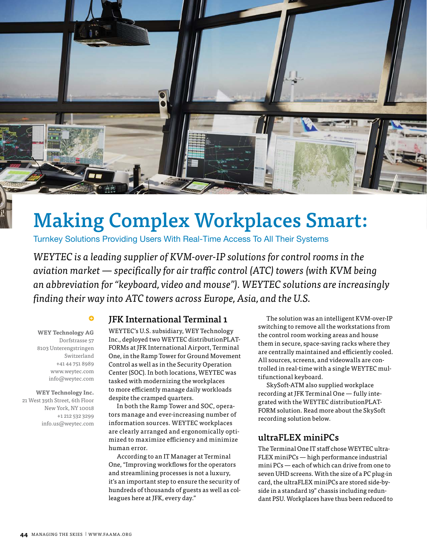

## Making Complex Workplaces Smart:

Turnkey Solutions Providing Users With Real-Time Access To All Their Systems

WEYTEC is a leading supplier of KVM-over-IP solutions for control rooms in the aviation market — specifically for air traffic control (ATC) towers (with KVM being an abbreviation for "keyboard, video and mouse"). WEYTEC solutions are increasingly finding their way into ATC towers across Europe, Asia, and the U.S.

**WEY Technology AG**  Dorfstrasse 57 8103 Unterengstringen Switzerland +41 44 751 8989 www.weytec.com info@weytec.com

**WEY Technology Inc.**  21 West 39th Street, 6th Floor New York, NY 10018 +1 212 532 3299 info.us@weytec.com

#### JFK International Terminal 1

WEYTEC's U.S. subsidiary, WEY Technology Inc., deployed two WEYTEC distributionPLAT-FORMs at JFK International Airport, Terminal One, in the Ramp Tower for Ground Movement Control as well as in the Security Operation Center (SOC). In both locations, WEYTEC was tasked with modernizing the workplaces to more efficiently manage daily workloads despite the cramped quarters.

In both the Ramp Tower and SOC, operators manage and ever-increasing number of information sources. WEYTEC workplaces are clearly arranged and ergonomically optimized to maximize efficiency and minimize human error.

According to an IT Manager at Terminal One, "Improving workflows for the operators and streamlining processes is not a luxury, it's an important step to ensure the security of hundreds of thousands of guests as well as colleagues here at JFK, every day."

The solution was an intelligent KVM-over-IP switching to remove all the workstations from the control room working areas and house them in secure, space-saving racks where they are centrally maintained and efficiently cooled. All sources, screens, and videowalls are controlled in real-time with a single WEYTEC multifunctional keyboard.

SkySoft-ATM also supplied workplace recording at JFK Terminal One — fully integrated with the WEYTEC distributionPLAT-FORM solution. Read more about the SkySoft recording solution below.

#### ultraFLEX miniPCs

The Terminal One IT staff chose WEYTEC ultra-FLEX miniPCs — high performance industrial mini PCs — each of which can drive from one to seven UHD screens. With the size of a PC plug-in card, the ultraFLEX miniPCs are stored side-byside in a standard 19" chassis including redundant PSU. Workplaces have thus been reduced to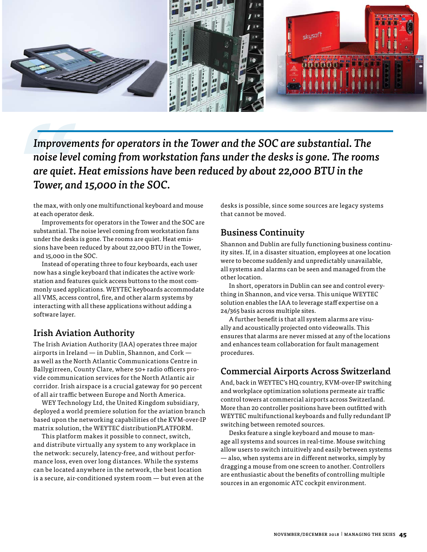

Improvements for operators in the Tower and the SOC are substantial. The noise level coming from workstation fans under the desks is gone. The rooms are quiet. Heat emissions have been reduced by about 22,000 BTU in the Tower, and 15,000 in the SOC.

the max, with only one multifunctional keyboard and mouse at each operator desk.

Improvements for operators in the Tower and the SOC are substantial. The noise level coming from workstation fans under the desks is gone. The rooms are quiet. Heat emissions have been reduced by about 22,000 BTU in the Tower, and 15,000 in the SOC.

Instead of operating three to four keyboards, each user now has a single keyboard that indicates the active workstation and features quick access buttons to the most commonly used applications. WEYTEC keyboards accommodate all VMS, access control, fire, and other alarm systems by interacting with all these applications without adding a software layer.

## Irish Aviation Authority

The Irish Aviation Authority (IAA) operates three major airports in Ireland — in Dublin, Shannon, and Cork as well as the North Atlantic Communications Centre in Ballygirreen, County Clare, where 50+ radio officers provide communication services for the North Atlantic air corridor. Irish airspace is a crucial gateway for 90 percent of all air traffic between Europe and North America.

WEY Technology Ltd, the United Kingdom subsidiary, deployed a world premiere solution for the aviation branch based upon the networking capabilities of the KVM-over-IP matrix solution, the WEYTEC distributionPLATFORM.

This platform makes it possible to connect, switch, and distribute virtually any system to any workplace in the network: securely, latency-free, and without performance loss, even over long distances. While the systems can be located anywhere in the network, the best location is a secure, air-conditioned system room — but even at the desks is possible, since some sources are legacy systems that cannot be moved.

## Business Continuity

Shannon and Dublin are fully functioning business continuity sites. If, in a disaster situation, employees at one location were to become suddenly and unpredictably unavailable, all systems and alarms can be seen and managed from the other location.

In short, operators in Dublin can see and control everything in Shannon, and vice versa. This unique WEYTEC solution enables the IAA to leverage staff expertise on a 24/365 basis across multiple sites.

A further benefit is that all system alarms are visually and acoustically projected onto videowalls. This ensures that alarms are never missed at any of the locations and enhances team collaboration for fault management procedures.

## Commercial Airports Across Switzerland

And, back in WEYTEC's HQ country, KVM-over-IP switching and workplace optimization solutions permeate air traffic control towers at commercial airports across Switzerland. More than 20 controller positions have been outfitted with WEYTEC multifunctional keyboards and fully redundant IP switching between remoted sources.

Desks feature a single keyboard and mouse to manage all systems and sources in real-time. Mouse switching allow users to switch intuitively and easily between systems — also, when systems are in different networks, simply by dragging a mouse from one screen to another. Controllers are enthusiastic about the benefits of controlling multiple sources in an ergonomic ATC cockpit environment.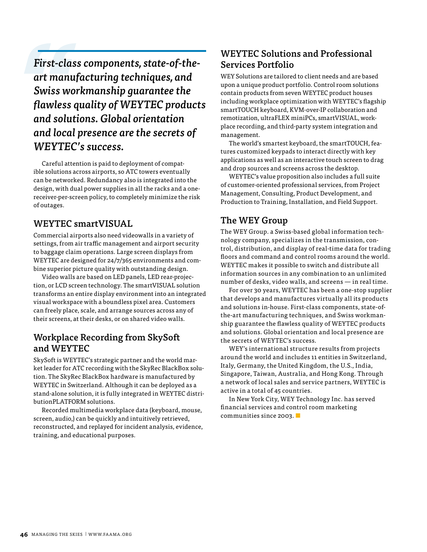First-class components, state-of-theart manufacturing techniques, and Swiss workmanship guarantee the flawless quality of WEYTEC products and solutions. Global orientation and local presence are the secrets of WEYTEC's success.

Careful attention is paid to deployment of compatible solutions across airports, so ATC towers eventually can be networked. Redundancy also is integrated into the design, with dual power supplies in all the racks and a onereceiver-per-screen policy, to completely minimize the risk of outages.

#### WEYTEC smartVISUAL

Commercial airports also need videowalls in a variety of settings, from air traffic management and airport security to baggage claim operations. Large screen displays from WEYTEC are designed for 24/7/365 environments and combine superior picture quality with outstanding design.

Video walls are based on LED panels, LED rear-projection, or LCD screen technology. The smartVISUAL solution transforms an entire display environment into an integrated visual workspace with a boundless pixel area. Customers can freely place, scale, and arrange sources across any of their screens, at their desks, or on shared video walls.

#### Workplace Recording from SkySoft and WEYTEC

SkySoft is WEYTEC's strategic partner and the world market leader for ATC recording with the SkyRec BlackBox solution. The SkyRec BlackBox hardware is manufactured by WEYTEC in Switzerland. Although it can be deployed as a stand-alone solution, it is fully integrated in WEYTEC distributionPLATFORM solutions.

Recorded multimedia workplace data (keyboard, mouse, screen, audio,) can be quickly and intuitively retrieved, reconstructed, and replayed for incident analysis, evidence, training, and educational purposes.

## WEYTEC Solutions and Professional Services Portfolio

WEY Solutions are tailored to client needs and are based upon a unique product portfolio. Control room solutions contain products from seven WEYTEC product houses including workplace optimization with WEYTEC's flagship smartTOUCH keyboard, KVM-over-IP collaboration and remotization, ultraFLEX miniPCs, smartVISUAL, workplace recording, and third-party system integration and management.

The world's smartest keyboard, the smartTOUCH, features customized keypads to interact directly with key applications as well as an interactive touch screen to drag and drop sources and screens across the desktop.

WEYTEC's value proposition also includes a full suite of customer-oriented professional services, from Project Management, Consulting, Product Development, and Production to Training, Installation, and Field Support.

#### The WEY Group

The WEY Group. a Swiss-based global information technology company, specializes in the transmission, control, distribution, and display of real-time data for trading floors and command and control rooms around the world. WEYTEC makes it possible to switch and distribute all information sources in any combination to an unlimited number of desks, video walls, and screens — in real time.

For over 30 years, WEYTEC has been a one-stop supplier that develops and manufactures virtually all its products and solutions in-house. First-class components, state-ofthe-art manufacturing techniques, and Swiss workmanship guarantee the flawless quality of WEYTEC products and solutions. Global orientation and local presence are the secrets of WEYTEC's success.

WEY's international structure results from projects around the world and includes 11 entities in Switzerland, Italy, Germany, the United Kingdom, the U.S., India, Singapore, Taiwan, Australia, and Hong Kong. Through a network of local sales and service partners, WEYTEC is active in a total of 45 countries.

In New York City, WEY Technology Inc. has served financial services and control room marketing communities since 2003. ■